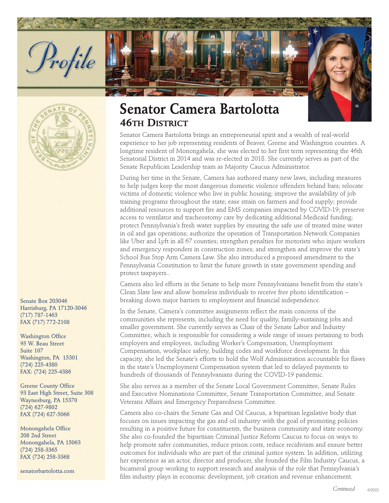



Senate Box 203046 Harrisburg, PA 17120-3046 (717) 787-1463 FAX (717) 772-2108

Washington Office 95 W. Beau Street Suite 107 Washington, PA 15301 (724) 225-4380 FAX: (724) 225-4386

Greene County Office 93 East High Street, Suite 308 Waynesburg, PA 15370 (724) 627-9802 FAX (724) 627-5066

Monongahela Office 208 2nd Street Monongahela, PA 15063 (724) 258-3365 FAX (724) 258-3368

senatorbartolotta.com

## **Senator Camera Bartolotta 46TH DISTRICT**

Senator Camera Bartolotta brings an entrepreneurial spirit and a wealth of real-world experience to her job representing residents of Beaver, Greene and Washington counties. A longtime resident of Monongahela, she was elected to her first term representing the 46th Senatorial District in 2014 and was re-elected in 2018. She currently serves as part of the Senate Republican Leadership team as Majority Caucus Administrator.

During her time in the Senate, Camera has authored many new laws, including measures to help judges keep the most dangerous domestic violence offenders behind bars; relocate victims of domestic violence who live in public housing; improve the availability of job training programs throughout the state; ease strain on farmers and food supply; provide additional resources to support fire and EMS companies impacted by COVID-19; preserve access to ventilator and tracheostomy care by dedicating additional Medicaid funding; protect Pennsylvania's fresh water supplies by ensuring the safe use of treated mine water in oil and gas operations; authorize the operation of Transportation Network Companies like Uber and Lyft in all 67 counties; strengthen penalties for motorists who injure workers and emergency responders in construction zones; and strengthen and improve the state's School Bus Stop Arm Camera Law. She also introduced a proposed amendment to the Pennsylvania Constitution to limit the future growth in state government spending and protect taxpayers..

Camera also led efforts in the Senate to help more Pennsylvanians benefit from the state's Clean Slate law and allow homeless individuals to receive free photo identification – breaking down major barriers to employment and financial independence.

In the Senate, Camera's committee assignments reflect the main concerns of the communities she represents, including the need for quality, family-sustaining jobs and smaller government. She currently serves as Chair of the Senate Labor and Industry Committee, which is responsible for considering a wide range of issues pertaining to both employers and employees, including Worker's Compensation, Unemployment Compensation, workplace safety, building codes and workforce development. In this capacity, she led the Senate's efforts to hold the Wolf Administration accountable for flaws in the state's Unemployment Compensation system that led to delayed payments to hundreds of thousands of Pennsylvanians during the COVID-19 pandemic.

She also serves as a member of the Senate Local Government Committee, Senate Rules and Executive Nominations Committee, Senate Transportation Committee, and Senate Veterans Affairs and Emergency Preparedness Committee.

Camera also co-chairs the Senate Gas and Oil Caucus, a bipartisan legislative body that focuses on issues impacting the gas and oil industry with the goal of promoting policies resulting in a positive future for constituents, the business community and state economy. She also co-founded the bipartisan Criminal Justice Reform Caucus to focus on ways to help promote safer communities, reduce prison costs, reduce recidivism and ensure better outcomes for individuals who are part of the criminal justice system. In addition, utilizing her experience as an actor, director and producer, she founded the Film Industry Caucus, a bicameral group working to support research and analysis of the role that Pennsylvania's film industry plays in economic development, job creation and revenue enhancement.